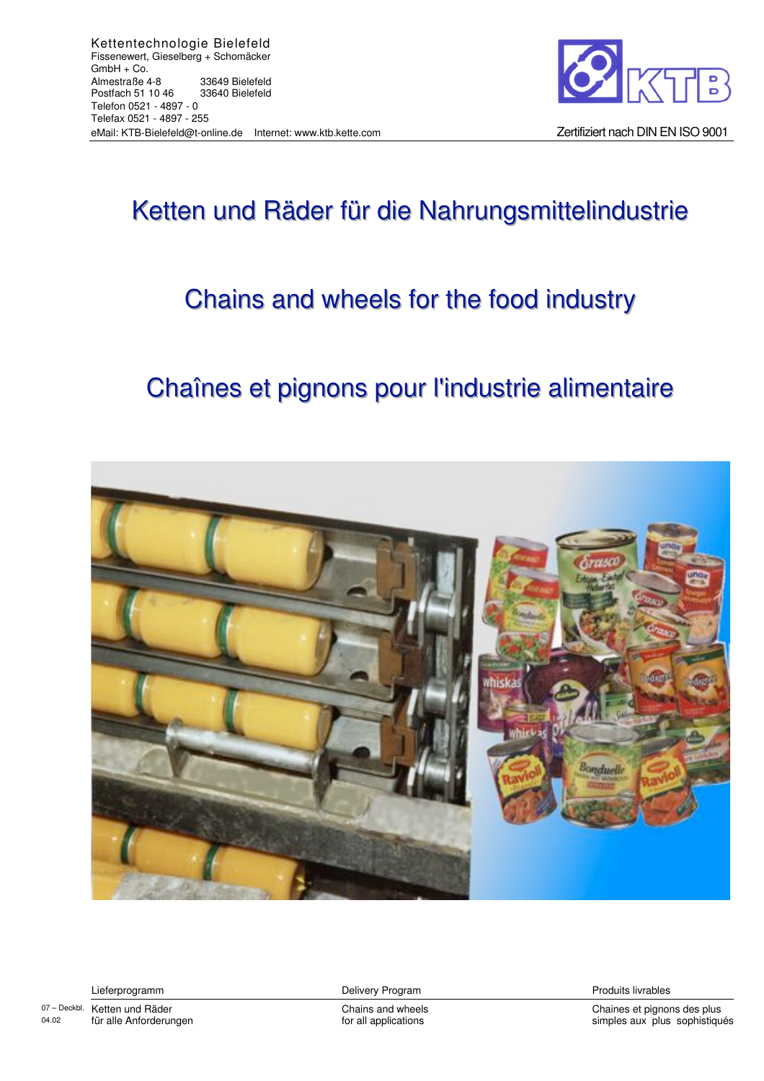

## Ketten und Räder für die Nahrungsmittelindustrie

## Chains and wheels for the food industry

## Chaînes et pignons pour l'industrie alimentaire



Lieferprogramm

**Delivery Program** 

Chains and wheels for all applications

Chaines et pignons des plus simples aux plus sophistiqués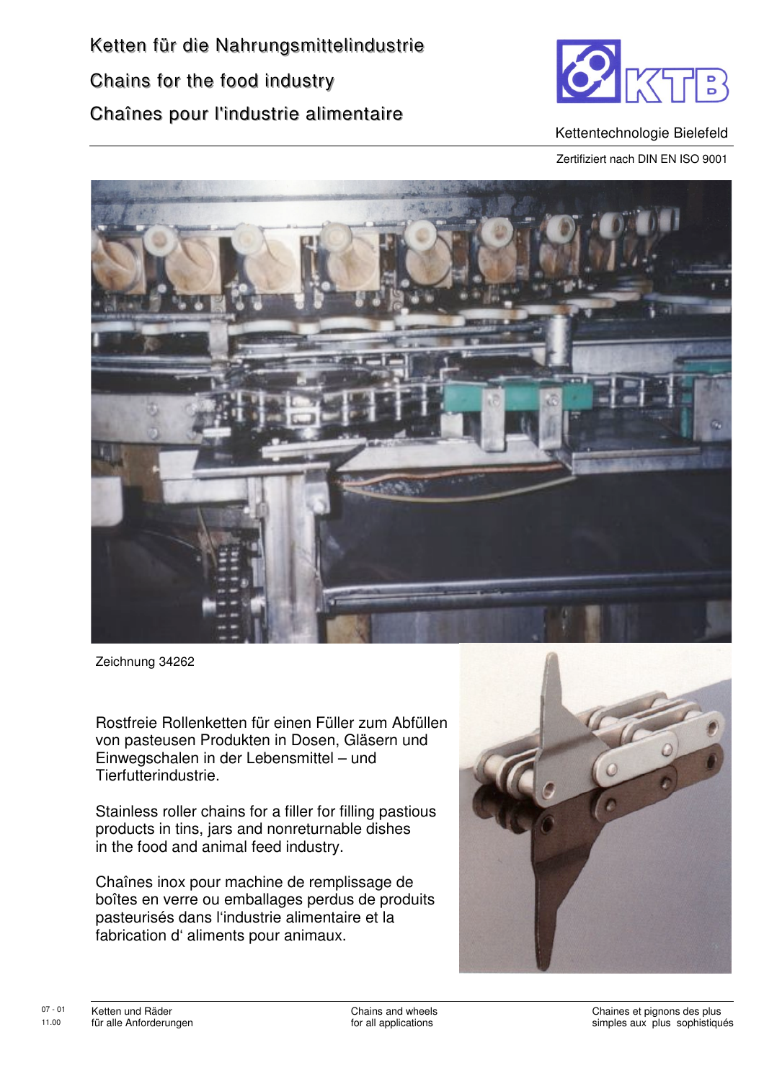

Kettentechnologie Bielefeld

Zertifiziert nach DIN EN ISO 9001



Zeichnung 34262

Rostfreie Rollenketten für einen Füller zum Abfüllen von pasteusen Produkten in Dosen, Gläsern und Einwegschalen in der Lebensmittel - und Tierfutterindustrie.

Stainless roller chains for a filler for filling pastious products in tins, jars and nonreturnable dishes in the food and animal feed industry.

Chaînes inox pour machine de remplissage de boîtes en verre ou emballages perdus de produits pasteurisés dans l'industrie alimentaire et la fabrication d'aliments pour animaux.

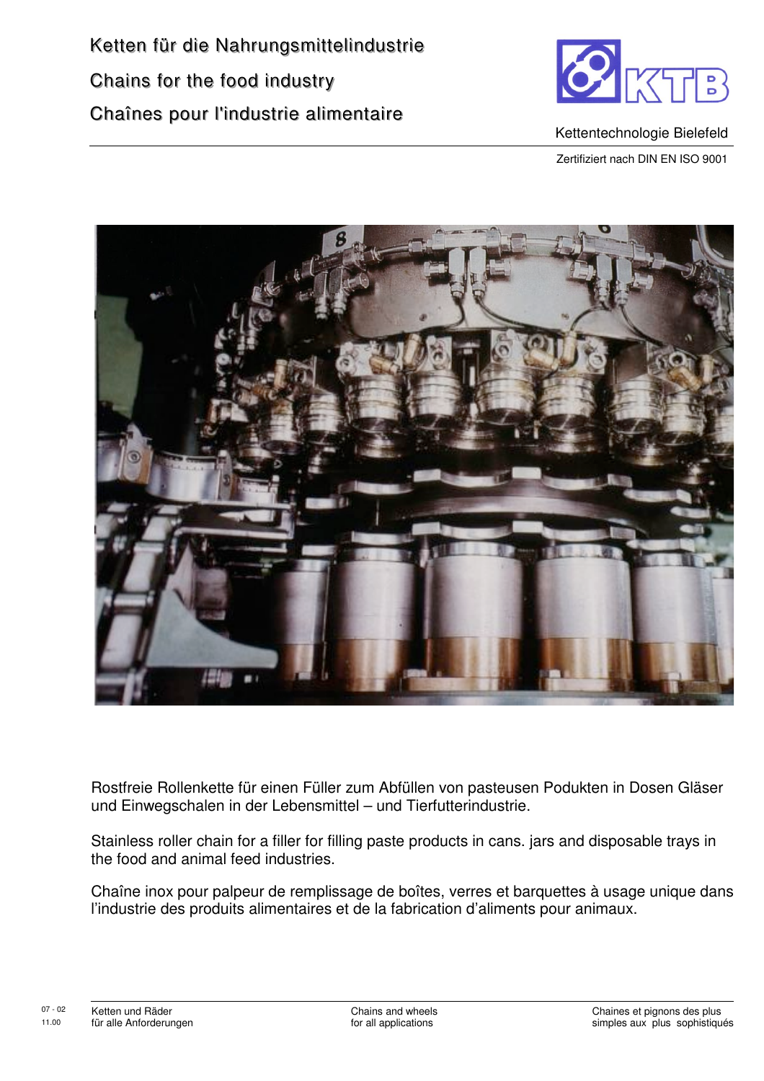

Kettentechnologie Bielefeld Zertifiziert nach DIN EN ISO 9001

Rostfreie Rollenkette für einen Füller zum Abfüllen von pasteusen Podukten in Dosen Gläser und Einwegschalen in der Lebensmittel - und Tierfutterindustrie.

Stainless roller chain for a filler for filling paste products in cans. jars and disposable trays in the food and animal feed industries.

Chaîne inox pour palpeur de remplissage de boîtes, verres et barquettes à usage unique dans l'industrie des produits alimentaires et de la fabrication d'aliments pour animaux.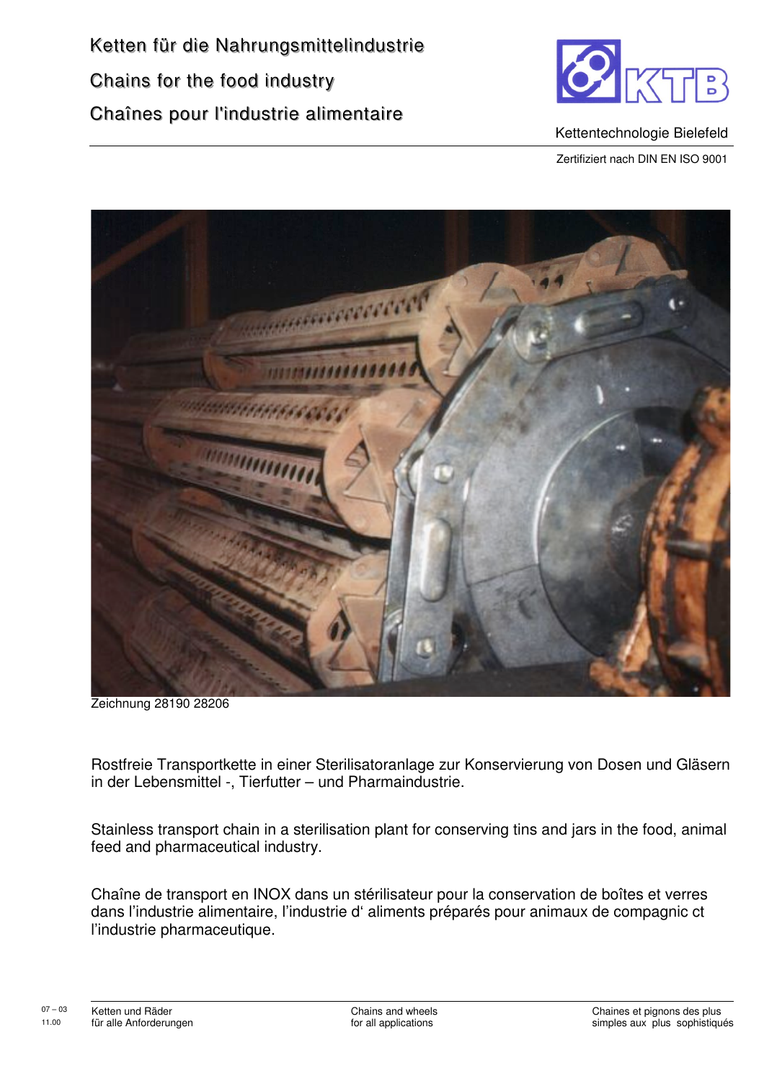

Kettentechnologie Bielefeld

Zertifiziert nach DIN EN ISO 9001



Zeichnung 28190 28206

Rostfreie Transportkette in einer Sterilisatoranlage zur Konservierung von Dosen und Gläsern in der Lebensmittel -, Tierfutter - und Pharmaindustrie.

Stainless transport chain in a sterilisation plant for conserving tins and jars in the food, animal feed and pharmaceutical industry.

Chaîne de transport en INOX dans un stérilisateur pour la conservation de boîtes et verres dans l'industrie alimentaire, l'industrie d'aliments préparés pour animaux de compagnic ct l'industrie pharmaceutique.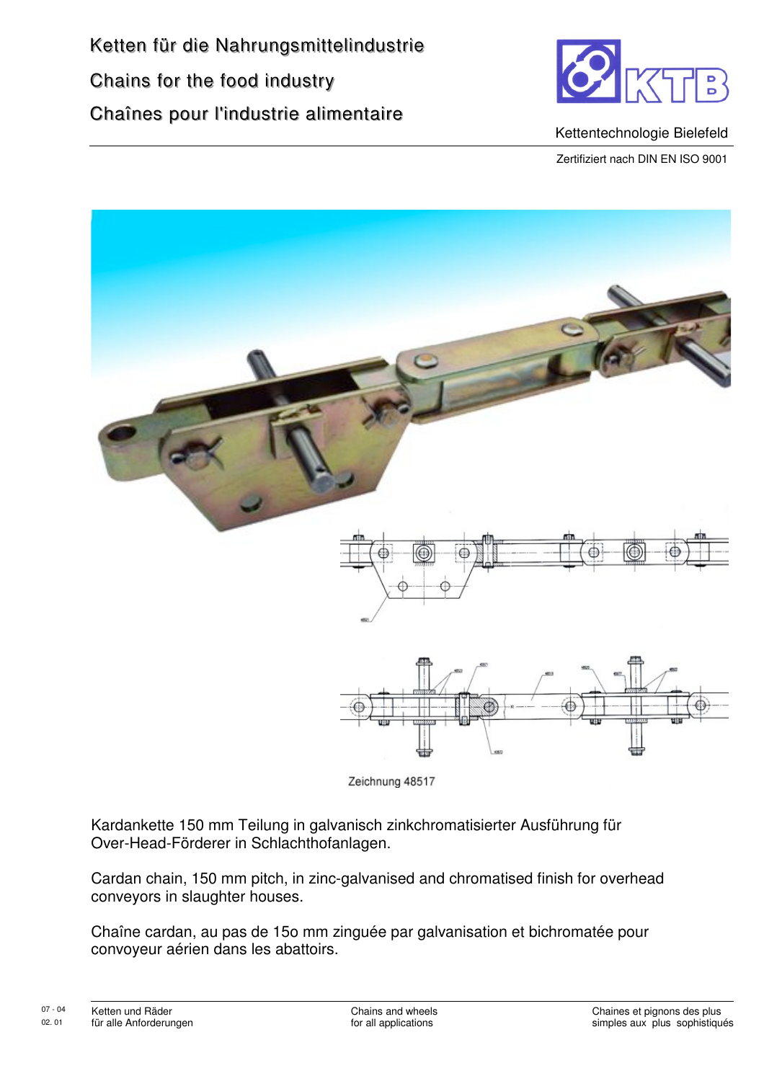

Kettentechnologie Bielefeld

Zertifiziert nach DIN EN ISO 9001



Zeichnung 48517

Kardankette 150 mm Teilung in galvanisch zinkchromatisierter Ausführung für Over-Head-Förderer in Schlachthofanlagen.

Cardan chain, 150 mm pitch, in zinc-galvanised and chromatised finish for overhead conveyors in slaughter houses.

Chaîne cardan, au pas de 15o mm zinguée par galvanisation et bichromatée pour convoyeur aérien dans les abattoirs.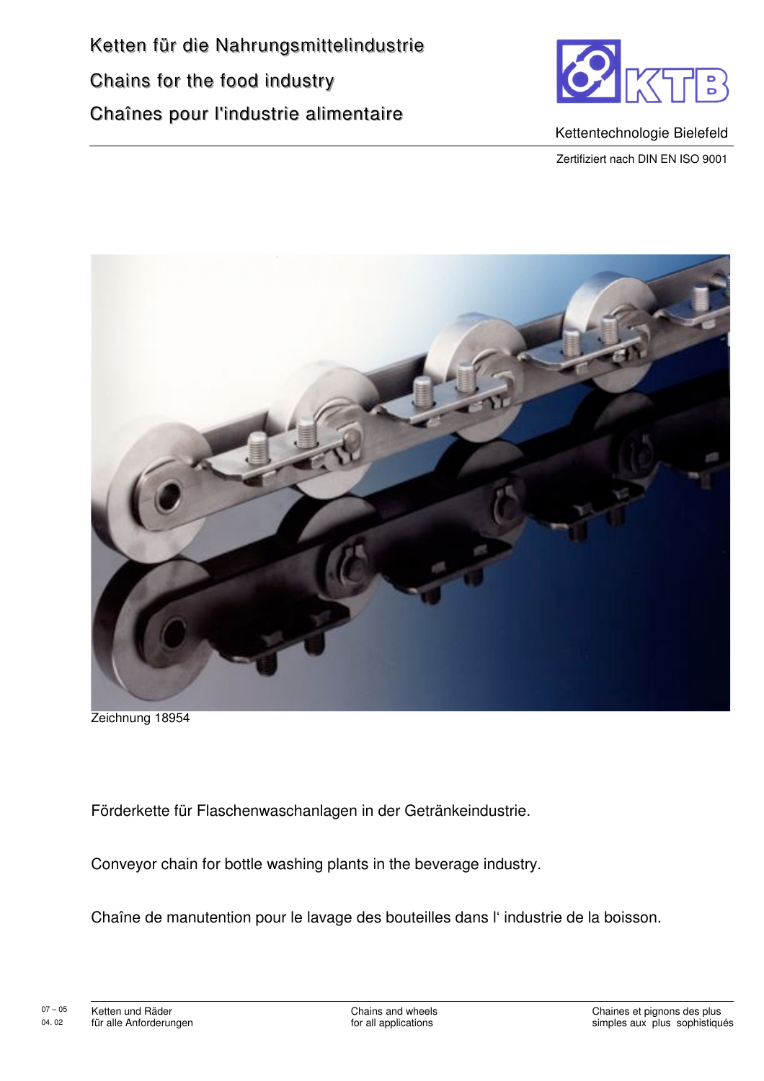

Kettentechnologie Bielefeld

Zertifiziert nach DIN EN ISO 9001



Zeichnung 18954

Förderkette für Flaschenwaschanlagen in der Getränkeindustrie.

Conveyor chain for bottle washing plants in the beverage industry.

Chaîne de manutention pour le lavage des bouteilles dans l'industrie de la boisson.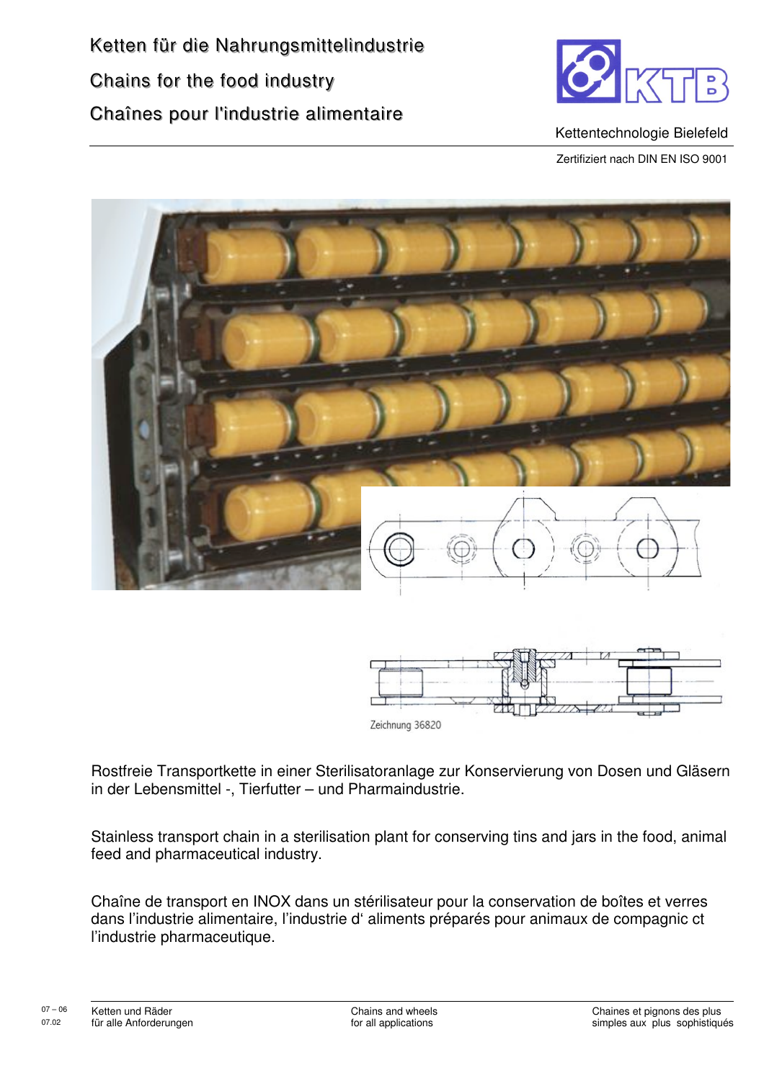

Kettentechnologie Bielefeld

Zertifiziert nach DIN EN ISO 9001





Rostfreie Transportkette in einer Sterilisatoranlage zur Konservierung von Dosen und Gläsern in der Lebensmittel -, Tierfutter - und Pharmaindustrie.

Stainless transport chain in a sterilisation plant for conserving tins and jars in the food, animal feed and pharmaceutical industry.

Chaîne de transport en INOX dans un stérilisateur pour la conservation de boîtes et verres dans l'industrie alimentaire, l'industrie d'aliments préparés pour animaux de compagnic ct l'industrie pharmaceutique.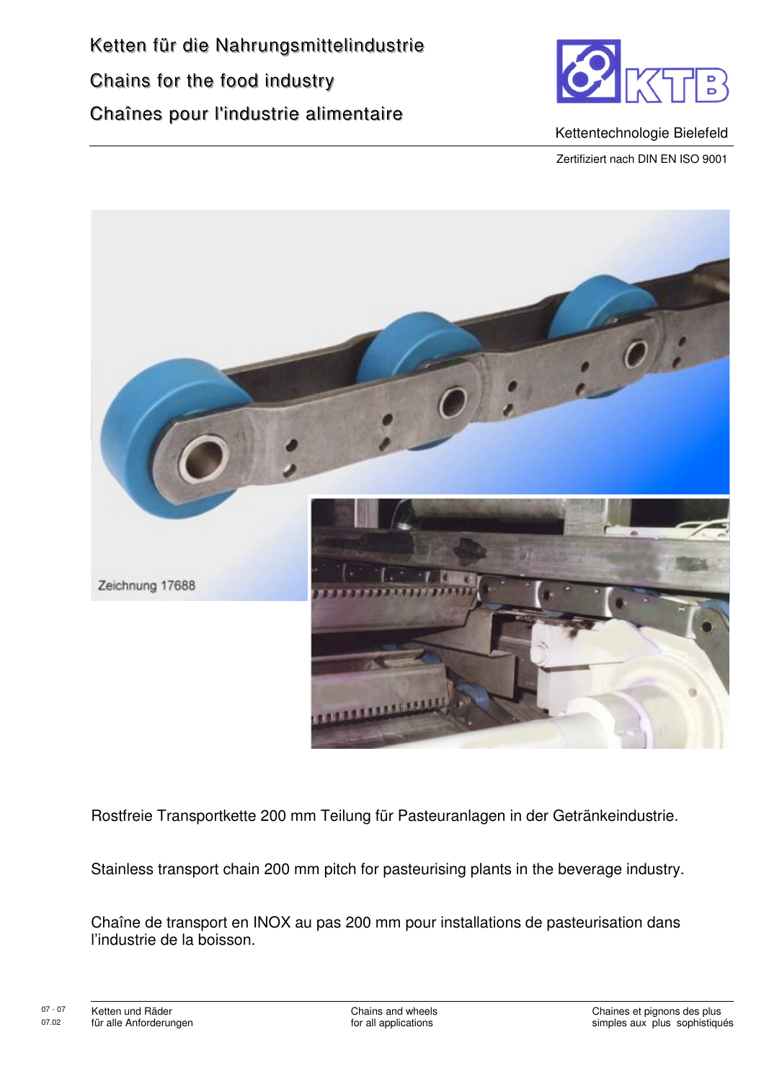

Kettentechnologie Bielefeld

Zertifiziert nach DIN EN ISO 9001



Rostfreie Transportkette 200 mm Teilung für Pasteuranlagen in der Getränkeindustrie.

Stainless transport chain 200 mm pitch for pasteurising plants in the beverage industry.

Chaîne de transport en INOX au pas 200 mm pour installations de pasteurisation dans l'industrie de la boisson.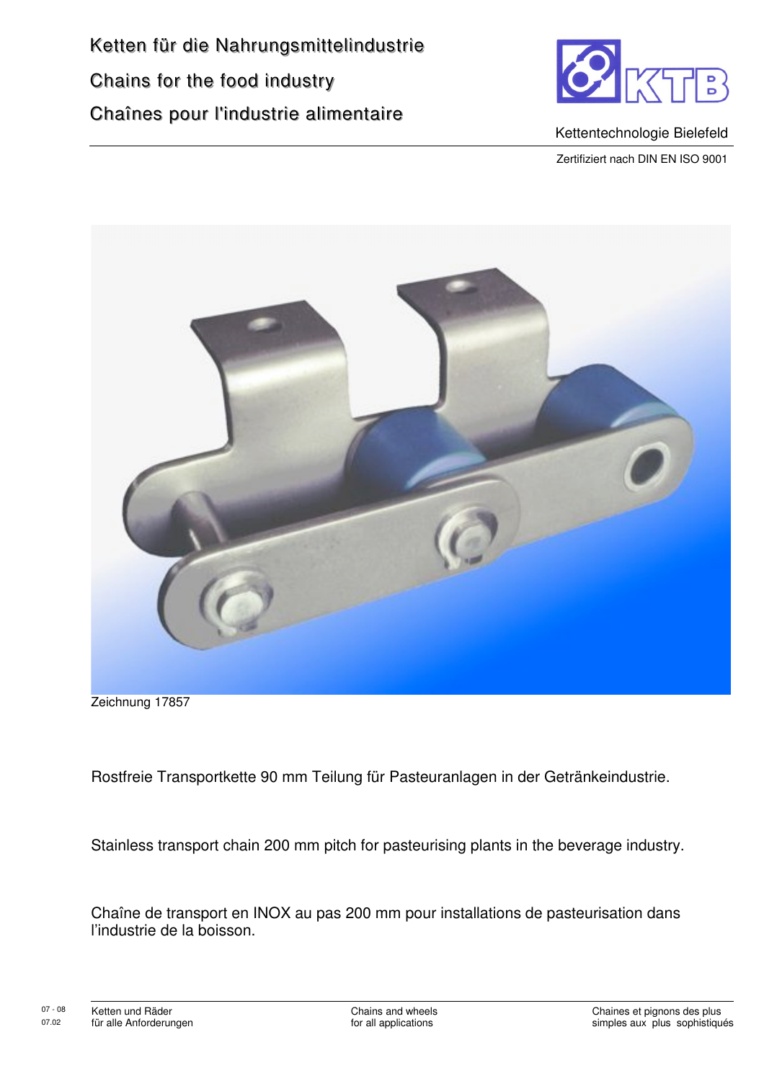

Kettentechnologie Bielefeld

Zertifiziert nach DIN EN ISO 9001



Zeichnung 17857

Rostfreie Transportkette 90 mm Teilung für Pasteuranlagen in der Getränkeindustrie.

Stainless transport chain 200 mm pitch for pasteurising plants in the beverage industry.

Chaîne de transport en INOX au pas 200 mm pour installations de pasteurisation dans l'industrie de la boisson.